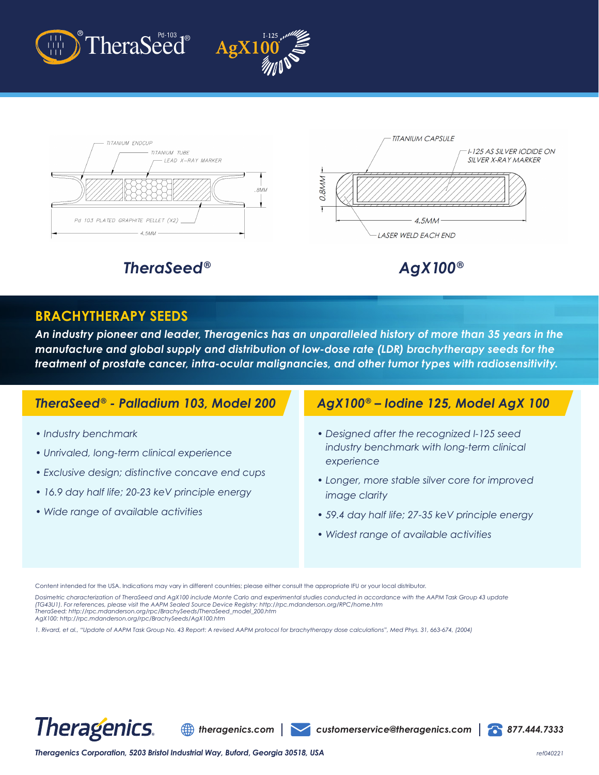



*TheraSeed® AgX100®*

## **BRACHYTHERAPY SEEDS**

*An industry pioneer and leader, Theragenics has an unparalleled history of more than 35 years in the manufacture and global supply and distribution of low-dose rate (LDR) brachytherapy seeds for the treatment of prostate cancer, intra-ocular malignancies, and other tumor types with radiosensitivity.*

### *TheraSeed® - Palladium 103, Model 200*

- *Industry benchmark*
- *Unrivaled, long-term clinical experience*
- *Exclusive design; distinctive concave end cups*
- *16.9 day half life; 20-23 keV principle energy*
- *Wide range of available activities*

### *AgX100® – Iodine 125, Model AgX 100*

- *Designed after the recognized I-125 seed industry benchmark with long-term clinical experience*
- *Longer, more stable silver core for improved image clarity*
- *59.4 day half life; 27-35 keV principle energy*
- *Widest range of available activities*

Content intended for the USA. Indications may vary in different countries; please either consult the appropriate IFU or your local distributor.

*Dosimetric characterization of TheraSeed and AgX100 include Monte Carlo and experimental studies conducted in accordance with the AAPM Task Group 43 update (TG43U1). For references, please visit the AAPM Sealed Source Device Registry: http://rpc.mdanderson.org/RPC/home.htm TheraSeed: http://rpc.mdanderson.org/rpc/BrachySeeds/TheraSeed\_model\_200.htm*

*AgX100: http://rpc.mdanderson.org/rpc/BrachySeeds/AgX100.htm*

*1. Rivard, et al., "Update of AAPM Task Group No. 43 Report: A revised AAPM protocol for brachytherapy dose calculations", Med Phys. 31, 663-674, (2004)*



*theragenics.com customerservice@theragenics.com 877.444.7333*

*Theragenics Corporation, 5203 Bristol Industrial Way, Buford***,** *Georgia 30518, USA ref040221*